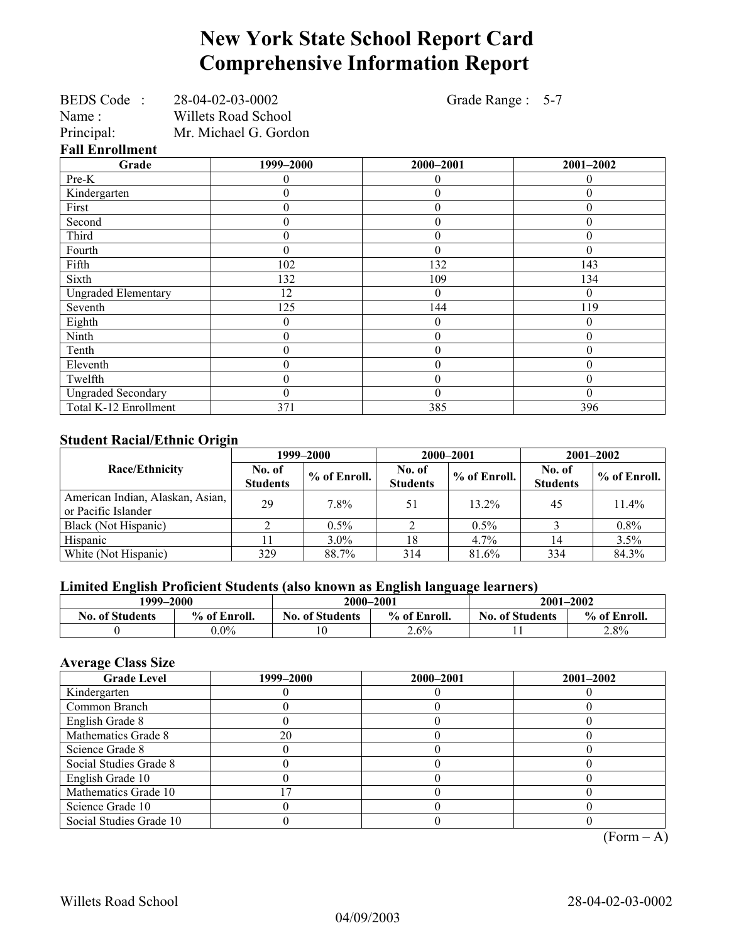# **New York State School Report Card Comprehensive Information Report**

| BEDS Code: 28-04-02-03-0002 |                       | Grade Range: 5-7 |                  |  |  |  |
|-----------------------------|-----------------------|------------------|------------------|--|--|--|
| Name :                      | Willets Road School   |                  |                  |  |  |  |
| Principal:                  | Mr. Michael G. Gordon |                  |                  |  |  |  |
| <b>Fall Enrollment</b>      |                       |                  |                  |  |  |  |
| Grade                       | 1999-2000             | 2000-2001        | 2001-2002        |  |  |  |
| Pre-K                       |                       | $\theta$         | 0                |  |  |  |
| Kindergarten                | 0                     | $\theta$         | 0                |  |  |  |
| First                       | 0                     | $\overline{0}$   | $\theta$         |  |  |  |
| Second                      | 0                     | $\theta$         | $\theta$         |  |  |  |
| Third                       | $\theta$              | $\boldsymbol{0}$ | $\theta$         |  |  |  |
| Fourth                      | 0                     | $\theta$         | $\theta$         |  |  |  |
| Fifth                       | 102                   | 132              | 143              |  |  |  |
| Sixth                       | 132                   | 109              | 134              |  |  |  |
| <b>Ungraded Elementary</b>  | 12                    | $\Omega$         | $\theta$         |  |  |  |
| Seventh                     | 125                   | 144              | 119              |  |  |  |
| Eighth                      | $\theta$              | $\theta$         | $\theta$         |  |  |  |
| Ninth                       | 0                     | $\theta$         | $\theta$         |  |  |  |
| Tenth                       | 0                     | $\theta$         | $\boldsymbol{0}$ |  |  |  |
| Eleventh                    | 0                     | $\theta$         | 0                |  |  |  |
| Twelfth                     | 0                     | $\theta$         | $\theta$         |  |  |  |
| <b>Ungraded Secondary</b>   | 0                     | $\theta$         | $\theta$         |  |  |  |
| Total K-12 Enrollment       | 371                   | 385              | 396              |  |  |  |

### **Student Racial/Ethnic Origin**

|                                                         | 1999–2000                 |              | 2000-2001                 |              | $2001 - 2002$             |                |
|---------------------------------------------------------|---------------------------|--------------|---------------------------|--------------|---------------------------|----------------|
| Race/Ethnicity                                          | No. of<br><b>Students</b> | % of Enroll. | No. of<br><b>Students</b> | % of Enroll. | No. of<br><b>Students</b> | $%$ of Enroll. |
| American Indian, Alaskan, Asian,<br>or Pacific Islander | 29                        | 7.8%         | 51                        | $13.2\%$     | 45                        | $11.4\%$       |
| Black (Not Hispanic)                                    |                           | $0.5\%$      |                           | $0.5\%$      |                           | $0.8\%$        |
| Hispanic                                                |                           | $3.0\%$      | 18                        | $4.7\%$      | 14                        | 3.5%           |
| White (Not Hispanic)                                    | 329                       | 88.7%        | 314                       | 81.6%        | 334                       | 84.3%          |

## **Limited English Proficient Students (also known as English language learners)**

| 1999–2000              |              |                        | 2000-2001    |                        | $2001 - 2002$ |  |  |
|------------------------|--------------|------------------------|--------------|------------------------|---------------|--|--|
| <b>No. of Students</b> | % of Enroll. | <b>No. of Students</b> | % of Enroll. | <b>No. of Students</b> | % of Enroll.  |  |  |
|                        | $0.0\%$      | 10                     | $2.6\%$      |                        | 2.8%          |  |  |

## **Average Class Size**

| 1999–2000 | 2000-2001 | $2001 - 2002$ |
|-----------|-----------|---------------|
|           |           |               |
|           |           |               |
|           |           |               |
| 20        |           |               |
|           |           |               |
|           |           |               |
|           |           |               |
|           |           |               |
|           |           |               |
|           |           |               |
|           |           |               |

 $(Form - A)$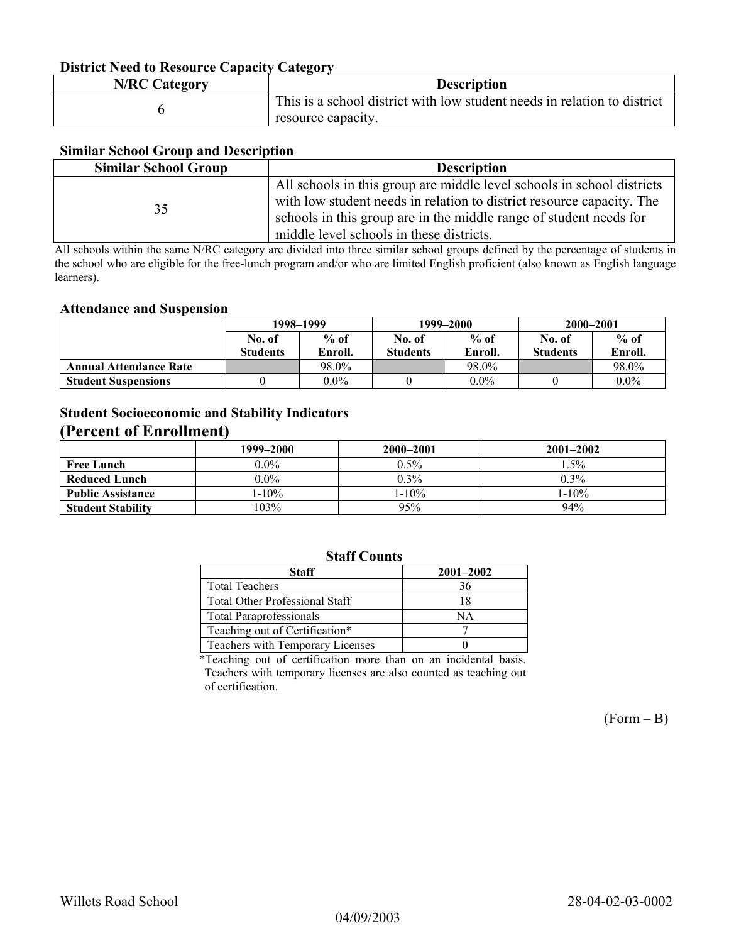### **District Need to Resource Capacity Category**

| <b>N/RC Category</b> | <b>Description</b>                                                       |
|----------------------|--------------------------------------------------------------------------|
|                      | This is a school district with low student needs in relation to district |
|                      | resource capacity.                                                       |

#### **Similar School Group and Description**

| <b>Similar School Group</b> | <b>Description</b>                                                     |
|-----------------------------|------------------------------------------------------------------------|
|                             | All schools in this group are middle level schools in school districts |
| 35                          | with low student needs in relation to district resource capacity. The  |
|                             | schools in this group are in the middle range of student needs for     |
|                             | middle level schools in these districts.                               |

All schools within the same N/RC category are divided into three similar school groups defined by the percentage of students in the school who are eligible for the free-lunch program and/or who are limited English proficient (also known as English language learners).

#### **Attendance and Suspension**

|                               | 1998–1999        |         |                  | 1999–2000 | 2000-2001        |         |
|-------------------------------|------------------|---------|------------------|-----------|------------------|---------|
|                               | $%$ of<br>No. of |         | $%$ of<br>No. of |           | $%$ of<br>No. of |         |
|                               | <b>Students</b>  | Enroll. | <b>Students</b>  | Enroll.   | <b>Students</b>  | Enroll. |
| <b>Annual Attendance Rate</b> |                  | 98.0%   |                  | 98.0%     |                  | 98.0%   |
| <b>Student Suspensions</b>    |                  | $0.0\%$ |                  | $0.0\%$   |                  | $0.0\%$ |

## **Student Socioeconomic and Stability Indicators (Percent of Enrollment)**

|                          | 1999-2000 | 2000-2001  | $2001 - 2002$ |
|--------------------------|-----------|------------|---------------|
| <b>Free Lunch</b>        | $0.0\%$   | $0.5\%$    | $.5\%$        |
| Reduced Lunch            | $0.0\%$   | $0.3\%$    | $0.3\%$       |
| <b>Public Assistance</b> | $1-10\%$  | $1 - 10\%$ | $1 - 10\%$    |
| <b>Student Stability</b> | 103%      | 95%        | 94%           |

## **Staff Counts**

| Staff                                 | $2001 - 2002$ |
|---------------------------------------|---------------|
| <b>Total Teachers</b>                 | 36            |
| <b>Total Other Professional Staff</b> | 18            |
| <b>Total Paraprofessionals</b>        | NΑ            |
| Teaching out of Certification*        |               |
| Teachers with Temporary Licenses      |               |

\*Teaching out of certification more than on an incidental basis. Teachers with temporary licenses are also counted as teaching out of certification.

 $(Form - B)$